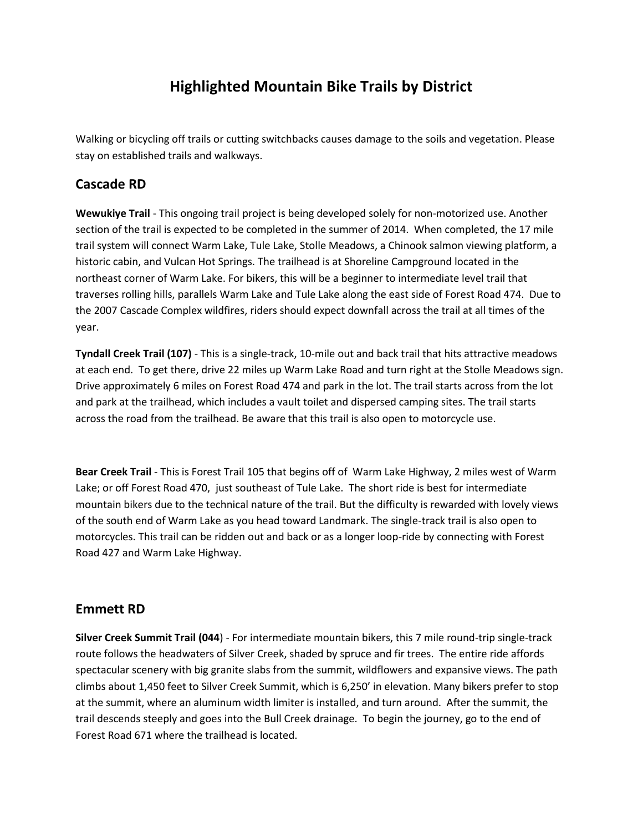# **Highlighted Mountain Bike Trails by District**

Walking or bicycling off trails or cutting switchbacks causes damage to the soils and vegetation. Please stay on established trails and walkways.

### **Cascade RD**

**Wewukiye Trail** - This ongoing trail project is being developed solely for non-motorized use. Another section of the trail is expected to be completed in the summer of 2014. When completed, the 17 mile trail system will connect Warm Lake, Tule Lake, Stolle Meadows, a Chinook salmon viewing platform, a historic cabin, and Vulcan Hot Springs. The trailhead is at Shoreline Campground located in the northeast corner of Warm Lake. For bikers, this will be a beginner to intermediate level trail that traverses rolling hills, parallels Warm Lake and Tule Lake along the east side of Forest Road 474. Due to the 2007 Cascade Complex wildfires, riders should expect downfall across the trail at all times of the year.

**Tyndall Creek Trail (107)** - This is a single-track, 10-mile out and back trail that hits attractive meadows at each end. To get there, drive 22 miles up Warm Lake Road and turn right at the Stolle Meadows sign. Drive approximately 6 miles on Forest Road 474 and park in the lot. The trail starts across from the lot and park at the trailhead, which includes a vault toilet and dispersed camping sites. The trail starts across the road from the trailhead. Be aware that this trail is also open to motorcycle use.

**Bear Creek Trail** - This is Forest Trail 105 that begins off of Warm Lake Highway, 2 miles west of Warm Lake; or off Forest Road 470, just southeast of Tule Lake. The short ride is best for intermediate mountain bikers due to the technical nature of the trail. But the difficulty is rewarded with lovely views of the south end of Warm Lake as you head toward Landmark. The single-track trail is also open to motorcycles. This trail can be ridden out and back or as a longer loop-ride by connecting with Forest Road 427 and Warm Lake Highway.

## **Emmett RD**

**Silver Creek Summit Trail (044**) - For intermediate mountain bikers, this 7 mile round-trip single-track route follows the headwaters of Silver Creek, shaded by spruce and fir trees. The entire ride affords spectacular scenery with big granite slabs from the summit, wildflowers and expansive views. The path climbs about 1,450 feet to Silver Creek Summit, which is 6,250' in elevation. Many bikers prefer to stop at the summit, where an aluminum width limiter is installed, and turn around. After the summit, the trail descends steeply and goes into the Bull Creek drainage. To begin the journey, go to the end of Forest Road 671 where the trailhead is located.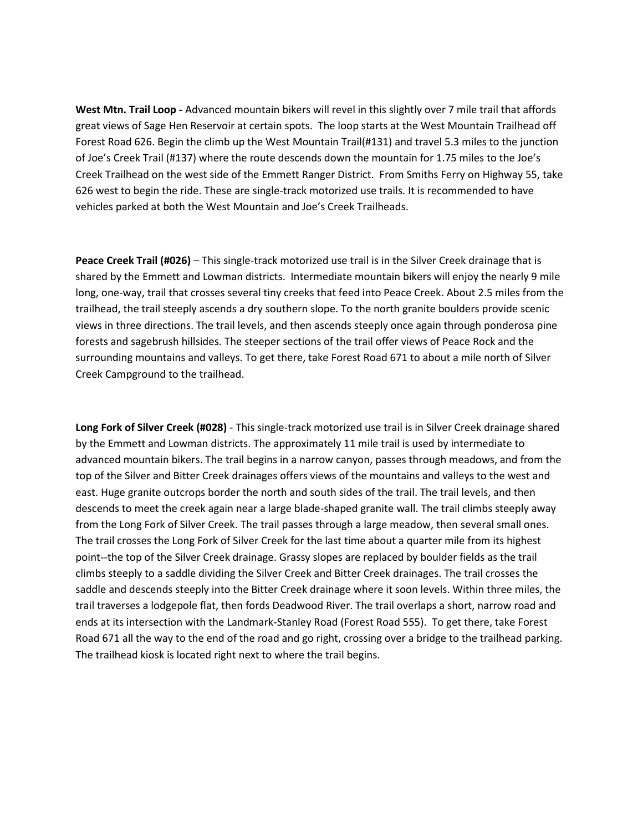**West Mtn. Trail Loop -** Advanced mountain bikers will revel in this slightly over 7 mile trail that affords great views of Sage Hen Reservoir at certain spots. The loop starts at the West Mountain Trailhead off Forest Road 626. Begin the climb up the West Mountain Trail(#131) and travel 5.3 miles to the junction of Joe's Creek Trail (#137) where the route descends down the mountain for 1.75 miles to the Joe's Creek Trailhead on the west side of the Emmett Ranger District. From Smiths Ferry on Highway 55, take 626 west to begin the ride. These are single-track motorized use trails. It is recommended to have vehicles parked at both the West Mountain and Joe's Creek Trailheads.

**Peace Creek Trail (#026)** – This single-track motorized use trail is in the Silver Creek drainage that is shared by the Emmett and Lowman districts. Intermediate mountain bikers will enjoy the nearly 9 mile long, one-way, trail that crosses several tiny creeks that feed into Peace Creek. About 2.5 miles from the trailhead, the trail steeply ascends a dry southern slope. To the north granite boulders provide scenic views in three directions. The trail levels, and then ascends steeply once again through ponderosa pine forests and sagebrush hillsides. The steeper sections of the trail offer views of Peace Rock and the surrounding mountains and valleys. To get there, take Forest Road 671 to about a mile north of Silver Creek Campground to the trailhead.

**Long Fork of Silver Creek (#028)** - This single-track motorized use trail is in Silver Creek drainage shared by the Emmett and Lowman districts. The approximately 11 mile trail is used by intermediate to advanced mountain bikers. The trail begins in a narrow canyon, passes through meadows, and from the top of the Silver and Bitter Creek drainages offers views of the mountains and valleys to the west and east. Huge granite outcrops border the north and south sides of the trail. The trail levels, and then descends to meet the creek again near a large blade-shaped granite wall. The trail climbs steeply away from the Long Fork of Silver Creek. The trail passes through a large meadow, then several small ones. The trail crosses the Long Fork of Silver Creek for the last time about a quarter mile from its highest point--the top of the Silver Creek drainage. Grassy slopes are replaced by boulder fields as the trail climbs steeply to a saddle dividing the Silver Creek and Bitter Creek drainages. The trail crosses the saddle and descends steeply into the Bitter Creek drainage where it soon levels. Within three miles, the trail traverses a lodgepole flat, then fords Deadwood River. The trail overlaps a short, narrow road and ends at its intersection with the Landmark-Stanley Road (Forest Road 555). To get there, take Forest Road 671 all the way to the end of the road and go right, crossing over a bridge to the trailhead parking. The trailhead kiosk is located right next to where the trail begins.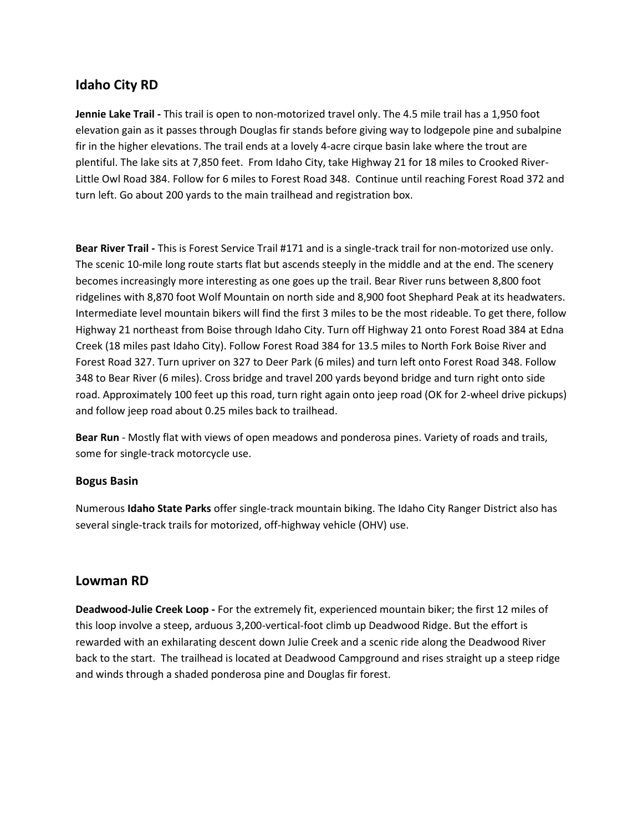### **Idaho City RD**

**Jennie Lake Trail -** This trail is open to non-motorized travel only. The 4.5 mile trail has a 1,950 foot elevation gain as it passes through Douglas fir stands before giving way to lodgepole pine and subalpine fir in the higher elevations. The trail ends at a lovely 4-acre cirque basin lake where the trout are plentiful. The lake sits at 7,850 feet. From Idaho City, take Highway 21 for 18 miles to Crooked River-Little Owl Road 384. Follow for 6 miles to Forest Road 348. Continue until reaching Forest Road 372 and turn left. Go about 200 yards to the main trailhead and registration box.

**Bear River Trail -** This is Forest Service Trail #171 and is a single-track trail for non-motorized use only. The scenic 10-mile long route starts flat but ascends steeply in the middle and at the end. The scenery becomes increasingly more interesting as one goes up the trail. Bear River runs between 8,800 foot ridgelines with 8,870 foot Wolf Mountain on north side and 8,900 foot Shephard Peak at its headwaters. Intermediate level mountain bikers will find the first 3 miles to be the most rideable. To get there, follow Highway 21 northeast from Boise through Idaho City. Turn off Highway 21 onto Forest Road 384 at Edna Creek (18 miles past Idaho City). Follow Forest Road 384 for 13.5 miles to North Fork Boise River and Forest Road 327. Turn upriver on 327 to Deer Park (6 miles) and turn left onto Forest Road 348. Follow 348 to Bear River (6 miles). Cross bridge and travel 200 yards beyond bridge and turn right onto side road. Approximately 100 feet up this road, turn right again onto jeep road (OK for 2-wheel drive pickups) and follow jeep road about 0.25 miles back to trailhead.

**Bear Run** - Mostly flat with views of open meadows and ponderosa pines. Variety of roads and trails, some for single-track motorcycle use.

#### **Bogus Basin**

Numerous **Idaho State Parks** offer single-track mountain biking. The Idaho City Ranger District also has several single-track trails for motorized, off-highway vehicle (OHV) use.

#### **Lowman RD**

**Deadwood-Julie Creek Loop -** For the extremely fit, experienced mountain biker; the first 12 miles of this loop involve a steep, arduous 3,200-vertical-foot climb up Deadwood Ridge. But the effort is rewarded with an exhilarating descent down Julie Creek and a scenic ride along the Deadwood River back to the start. The trailhead is located at Deadwood Campground and rises straight up a steep ridge and winds through a shaded ponderosa pine and Douglas fir forest.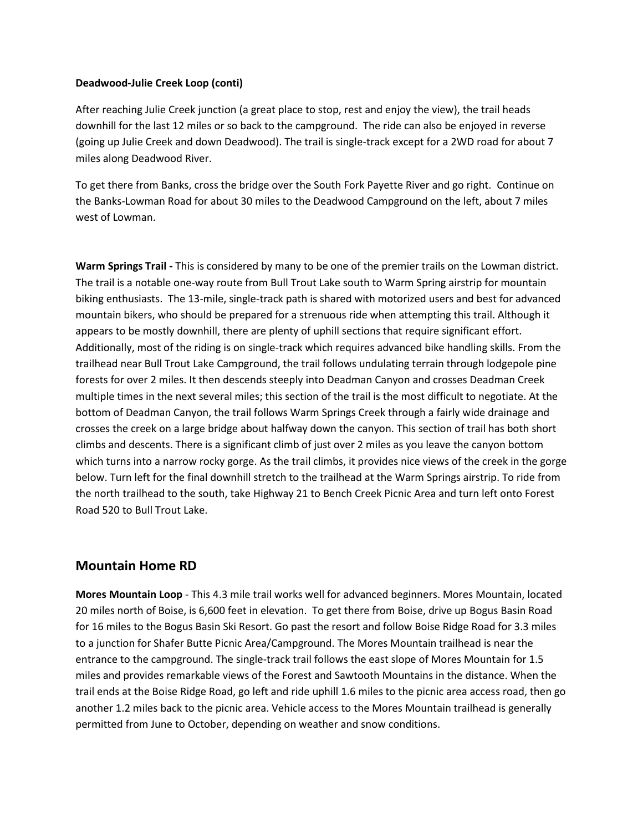#### **Deadwood-Julie Creek Loop (conti)**

After reaching Julie Creek junction (a great place to stop, rest and enjoy the view), the trail heads downhill for the last 12 miles or so back to the campground. The ride can also be enjoyed in reverse (going up Julie Creek and down Deadwood). The trail is single-track except for a 2WD road for about 7 miles along Deadwood River.

To get there from Banks, cross the bridge over the South Fork Payette River and go right. Continue on the Banks-Lowman Road for about 30 miles to the Deadwood Campground on the left, about 7 miles west of Lowman.

**Warm Springs Trail -** This is considered by many to be one of the premier trails on the Lowman district. The trail is a notable one-way route from Bull Trout Lake south to Warm Spring airstrip for mountain biking enthusiasts. The 13-mile, single-track path is shared with motorized users and best for advanced mountain bikers, who should be prepared for a strenuous ride when attempting this trail. Although it appears to be mostly downhill, there are plenty of uphill sections that require significant effort. Additionally, most of the riding is on single-track which requires advanced bike handling skills. From the trailhead near Bull Trout Lake Campground, the trail follows undulating terrain through lodgepole pine forests for over 2 miles. It then descends steeply into Deadman Canyon and crosses Deadman Creek multiple times in the next several miles; this section of the trail is the most difficult to negotiate. At the bottom of Deadman Canyon, the trail follows Warm Springs Creek through a fairly wide drainage and crosses the creek on a large bridge about halfway down the canyon. This section of trail has both short climbs and descents. There is a significant climb of just over 2 miles as you leave the canyon bottom which turns into a narrow rocky gorge. As the trail climbs, it provides nice views of the creek in the gorge below. Turn left for the final downhill stretch to the trailhead at the Warm Springs airstrip. To ride from the north trailhead to the south, take Highway 21 to Bench Creek Picnic Area and turn left onto Forest Road 520 to Bull Trout Lake.

### **Mountain Home RD**

**Mores Mountain Loop** - This 4.3 mile trail works well for advanced beginners. Mores Mountain, located 20 miles north of Boise, is 6,600 feet in elevation. To get there from Boise, drive up Bogus Basin Road for 16 miles to the Bogus Basin Ski Resort. Go past the resort and follow Boise Ridge Road for 3.3 miles to a junction for Shafer Butte Picnic Area/Campground. The Mores Mountain trailhead is near the entrance to the campground. The single-track trail follows the east slope of Mores Mountain for 1.5 miles and provides remarkable views of the Forest and Sawtooth Mountains in the distance. When the trail ends at the Boise Ridge Road, go left and ride uphill 1.6 miles to the picnic area access road, then go another 1.2 miles back to the picnic area. Vehicle access to the Mores Mountain trailhead is generally permitted from June to October, depending on weather and snow conditions.